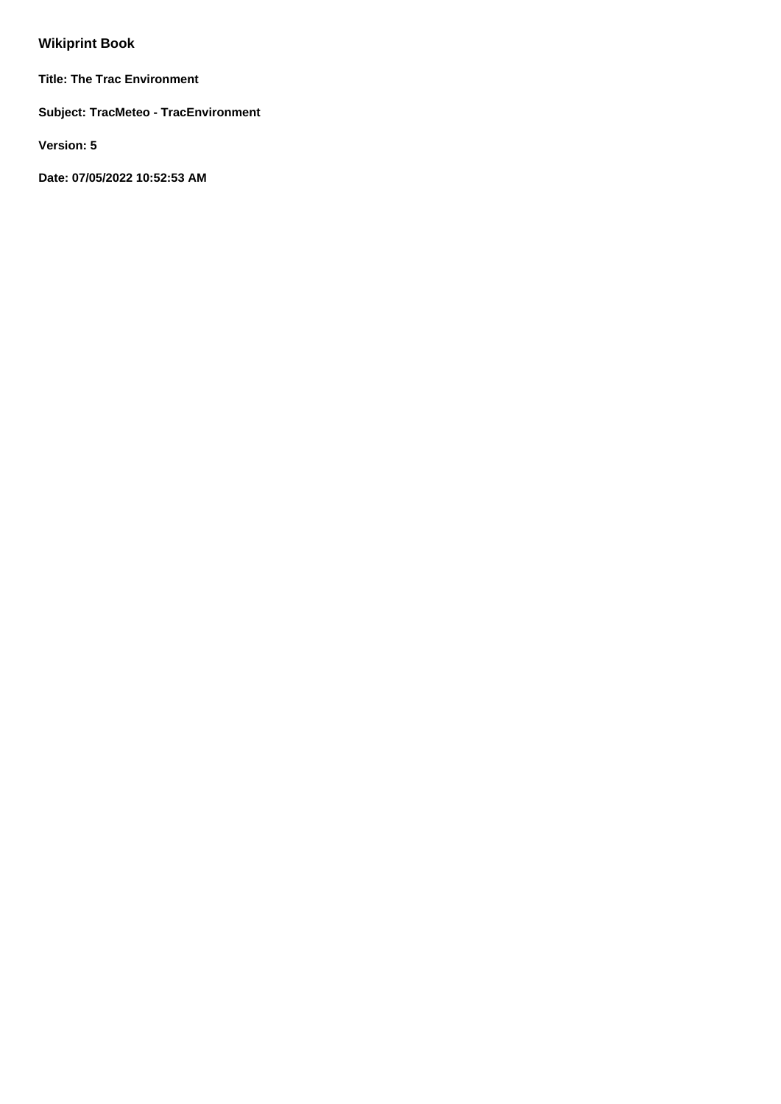# **Wikiprint Book**

**Title: The Trac Environment**

**Subject: TracMeteo - TracEnvironment**

**Version: 5**

**Date: 07/05/2022 10:52:53 AM**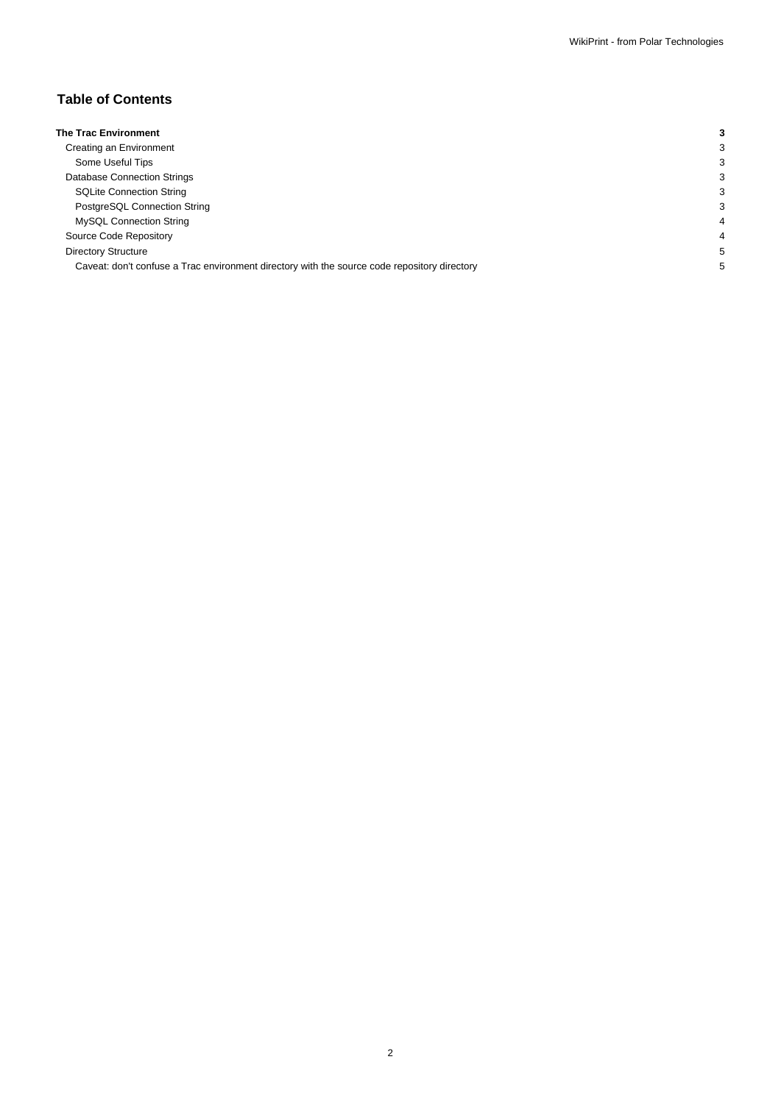## **Table of Contents**

| <b>The Trac Environment</b>                                                                  |  |
|----------------------------------------------------------------------------------------------|--|
| Creating an Environment                                                                      |  |
| Some Useful Tips                                                                             |  |
| Database Connection Strings                                                                  |  |
| <b>SQLite Connection String</b>                                                              |  |
| PostgreSQL Connection String                                                                 |  |
| MySQL Connection String                                                                      |  |
| Source Code Repository                                                                       |  |
| <b>Directory Structure</b>                                                                   |  |
| Caveat: don't confuse a Trac environment directory with the source code repository directory |  |
|                                                                                              |  |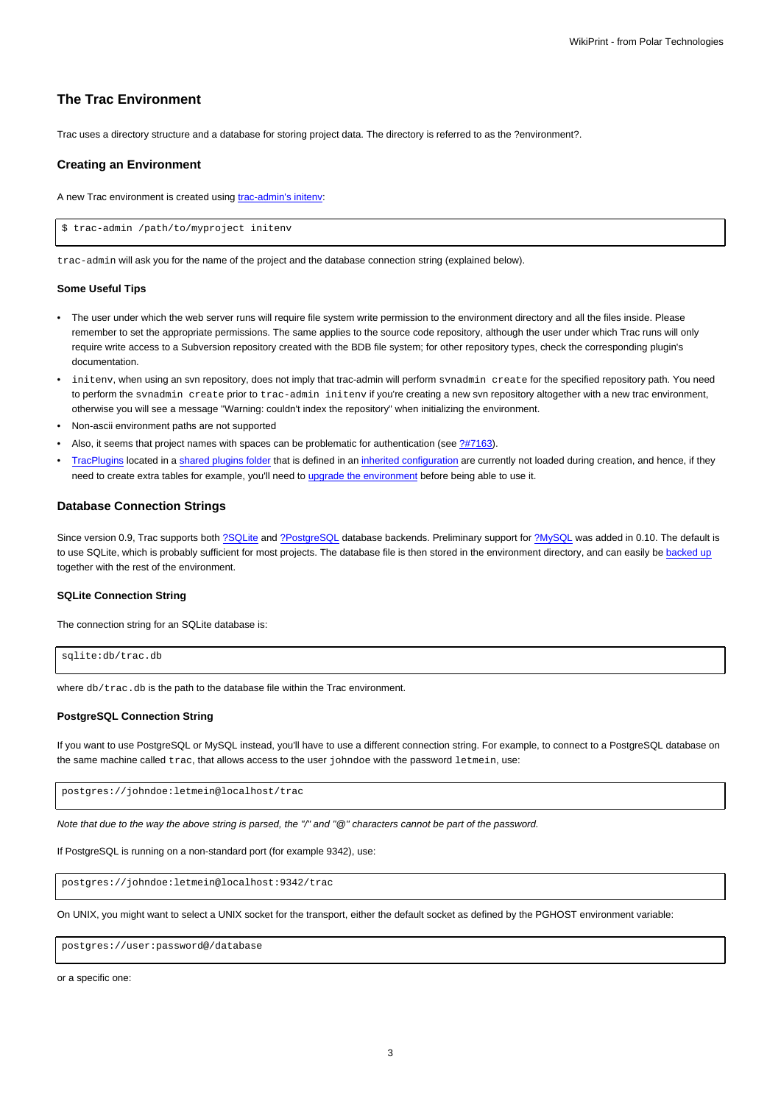## **The Trac Environment**

Trac uses a directory structure and a database for storing project data. The directory is referred to as the ?environment?.

#### **Creating an Environment**

A new Trac environment is created using [trac-admin's initenv:](https://meteo.unican.es/trac/wiki/TracAdmin#initenv)

\$ trac-admin /path/to/myproject initenv

trac-admin will ask you for the name of the project and the database connection string (explained below).

#### **Some Useful Tips**

- The user under which the web server runs will require file system write permission to the environment directory and all the files inside. Please remember to set the appropriate permissions. The same applies to the source code repository, although the user under which Trac runs will only require write access to a Subversion repository created with the BDB file system; for other repository types, check the corresponding plugin's documentation.
- initenv, when using an svn repository, does not imply that trac-admin will perform svnadmin create for the specified repository path. You need to perform the synadmin create prior to trac-admin initeny if you're creating a new syn repository altogether with a new trac environment, otherwise you will see a message "Warning: couldn't index the repository" when initializing the environment.
- Non-ascii environment paths are not supported
- Also, it seems that project names with spaces can be problematic for authentication (see [?#7163](http://trac.edgewall.org/intertrac/%237163)).
- [TracPlugins](https://meteo.unican.es/trac/wiki/TracPlugins) located in a [shared plugins folder](https://meteo.unican.es/trac/wiki/TracIni#inherit-section) that is defined in an [inherited configuration](https://meteo.unican.es/trac/wiki/TracIni#GlobalConfiguration) are currently not loaded during creation, and hence, if they need to create extra tables for example, you'll need to [upgrade the environment](https://meteo.unican.es/trac/wiki/TracUpgrade#UpgradetheTracEnvironment) before being able to use it.

#### **Database Connection Strings**

Since version 0.9, Trac supports both [?SQLite](http://sqlite.org/) and [?PostgreSQL](http://www.postgresql.org/) database backends. Preliminary support for [?MySQL](http://mysql.com/) was added in 0.10. The default is to use SQLite, which is probably sufficient for most projects. The database file is then stored in the environment directory, and can easily be [backed up](https://meteo.unican.es/trac/wiki/TracBackup) together with the rest of the environment.

### **SQLite Connection String**

The connection string for an SQLite database is:

```
sqlite:db/trac.db
```
where db/trac.db is the path to the database file within the Trac environment.

#### **PostgreSQL Connection String**

If you want to use PostgreSQL or MySQL instead, you'll have to use a different connection string. For example, to connect to a PostgreSQL database on the same machine called trac, that allows access to the user johndoe with the password letmein, use:

postgres://johndoe:letmein@localhost/trac

Note that due to the way the above string is parsed, the "/" and "@" characters cannot be part of the password.

If PostgreSQL is running on a non-standard port (for example 9342), use:

postgres://johndoe:letmein@localhost:9342/trac

On UNIX, you might want to select a UNIX socket for the transport, either the default socket as defined by the PGHOST environment variable:

postgres://user:password@/database

or a specific one: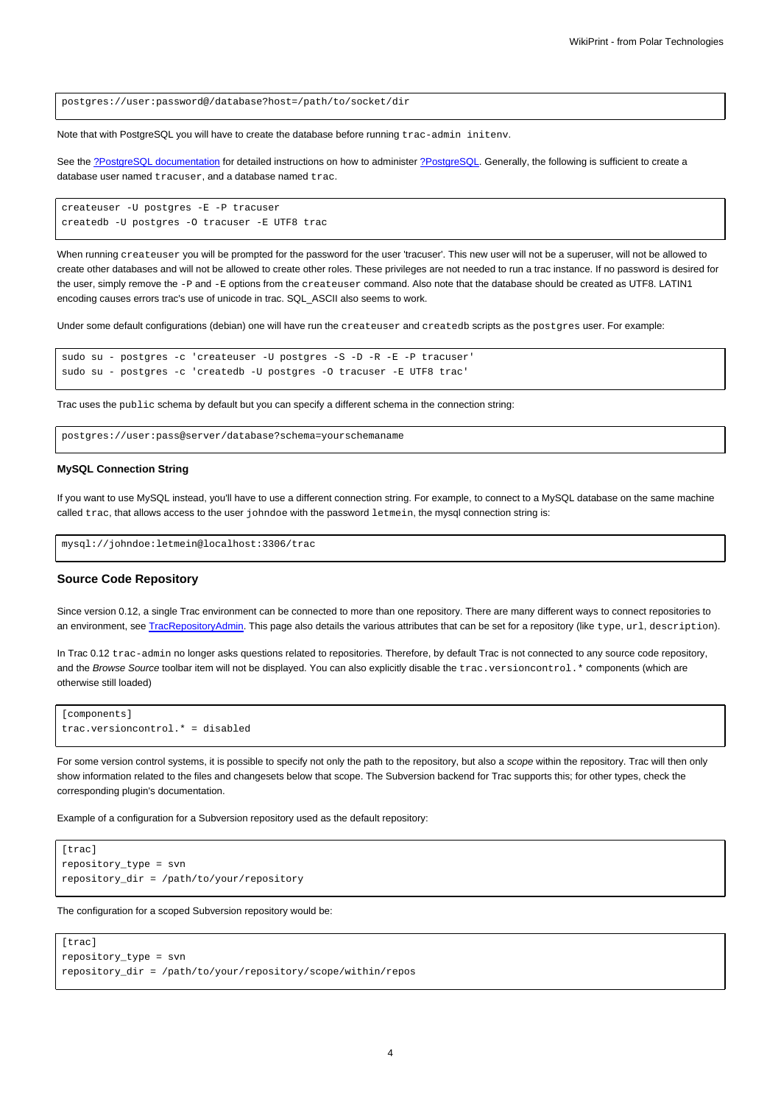postgres://user:password@/database?host=/path/to/socket/dir

Note that with PostgreSQL you will have to create the database before running trac-admin initenv.

See the [?PostgreSQL documentation](http://www.postgresql.org/docs/) for detailed instructions on how to administer [?PostgreSQL](http://postgresql.org). Generally, the following is sufficient to create a database user named tracuser, and a database named trac.

```
createuser -U postgres -E -P tracuser
createdb -U postgres -O tracuser -E UTF8 trac
```
When running createuser you will be prompted for the password for the user 'tracuser'. This new user will not be a superuser, will not be allowed to create other databases and will not be allowed to create other roles. These privileges are not needed to run a trac instance. If no password is desired for the user, simply remove the -P and -E options from the createuser command. Also note that the database should be created as UTF8. LATIN1 encoding causes errors trac's use of unicode in trac. SQL\_ASCII also seems to work.

Under some default configurations (debian) one will have run the createuser and createdb scripts as the postgres user. For example:

```
sudo su - postgres -c 'createuser -U postgres -S -D -R -E -P tracuser'
sudo su - postgres -c 'createdb -U postgres -O tracuser -E UTF8 trac'
```
Trac uses the public schema by default but you can specify a different schema in the connection string:

postgres://user:pass@server/database?schema=yourschemaname

#### **MySQL Connection String**

If you want to use MySQL instead, you'll have to use a different connection string. For example, to connect to a MySQL database on the same machine called trac, that allows access to the user johndoe with the password letmein, the mysql connection string is:

mysql://johndoe:letmein@localhost:3306/trac

#### **Source Code Repository**

Since version 0.12, a single Trac environment can be connected to more than one repository. There are many different ways to connect repositories to an environment, see [TracRepositoryAdmin.](https://meteo.unican.es/trac/wiki/TracRepositoryAdmin) This page also details the various attributes that can be set for a repository (like type, url, description).

In Trac 0.12 trac-admin no longer asks questions related to repositories. Therefore, by default Trac is not connected to any source code repository, and the Browse Source toolbar item will not be displayed. You can also explicitly disable the trac.versioncontrol.\* components (which are otherwise still loaded)

```
[components]
trac.versioncontrol.* = disabled
```
For some version control systems, it is possible to specify not only the path to the repository, but also a scope within the repository. Trac will then only show information related to the files and changesets below that scope. The Subversion backend for Trac supports this; for other types, check the corresponding plugin's documentation.

Example of a configuration for a Subversion repository used as the default repository:

```
[trac]
repository_type = svn
repository_dir = /path/to/your/repository
```
The configuration for a scoped Subversion repository would be:

```
[trac]
repository_type = svn
repository_dir = /path/to/your/repository/scope/within/repos
```